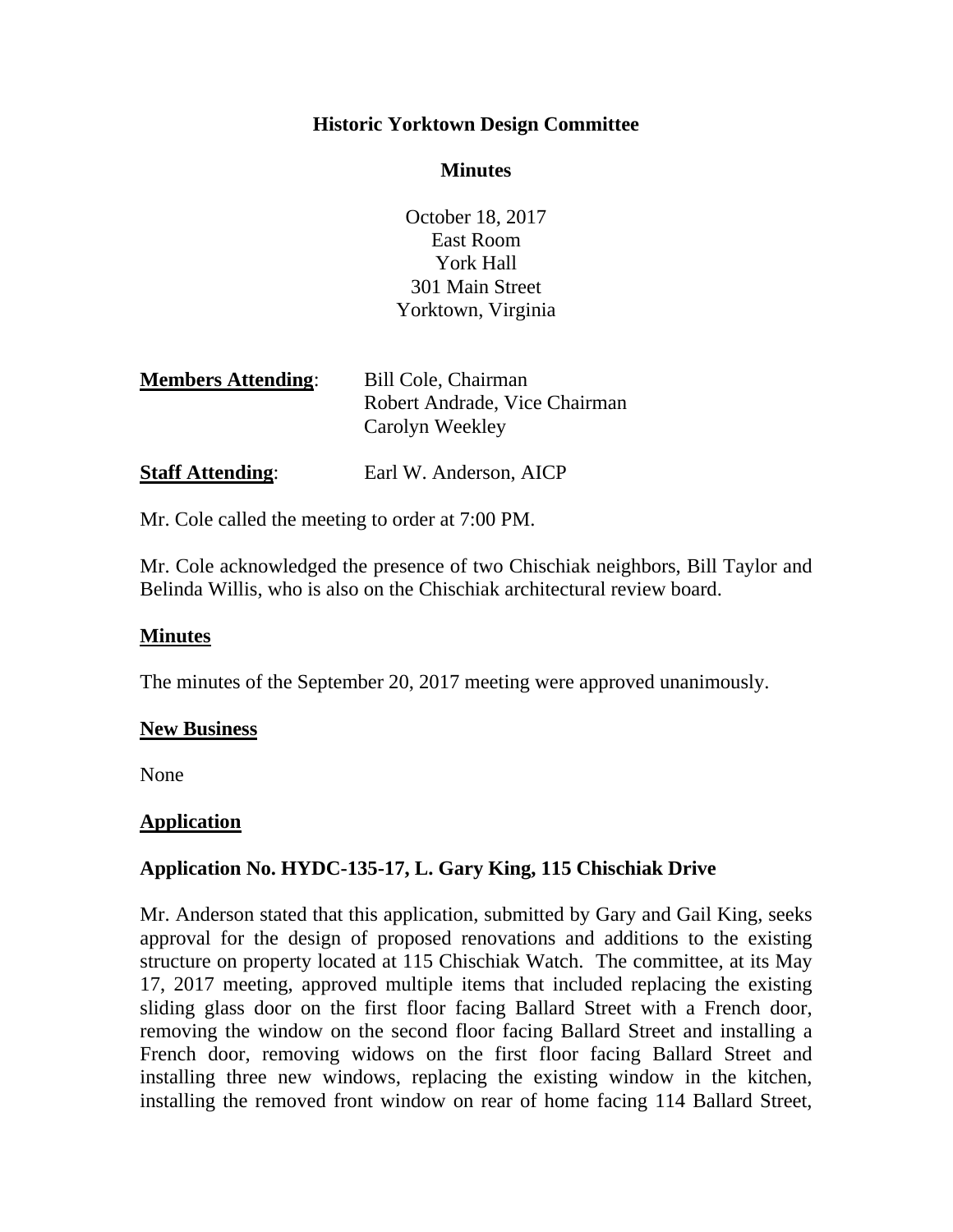# **Historic Yorktown Design Committee**

# **Minutes**

October 18, 2017 East Room York Hall 301 Main Street Yorktown, Virginia

| <b>Members Attending:</b> | Bill Cole, Chairman           |
|---------------------------|-------------------------------|
|                           | Robert Andrade, Vice Chairman |
|                           | Carolyn Weekley               |
|                           |                               |

**Staff Attending:** Earl W. Anderson, AICP

Mr. Cole called the meeting to order at 7:00 PM.

Mr. Cole acknowledged the presence of two Chischiak neighbors, Bill Taylor and Belinda Willis, who is also on the Chischiak architectural review board.

# **Minutes**

The minutes of the September 20, 2017 meeting were approved unanimously.

# **New Business**

None

# **Application**

# **Application No. HYDC-135-17, L. Gary King, 115 Chischiak Drive**

Mr. Anderson stated that this application, submitted by Gary and Gail King, seeks approval for the design of proposed renovations and additions to the existing structure on property located at 115 Chischiak Watch. The committee, at its May 17, 2017 meeting, approved multiple items that included replacing the existing sliding glass door on the first floor facing Ballard Street with a French door, removing the window on the second floor facing Ballard Street and installing a French door, removing widows on the first floor facing Ballard Street and installing three new windows, replacing the existing window in the kitchen, installing the removed front window on rear of home facing 114 Ballard Street,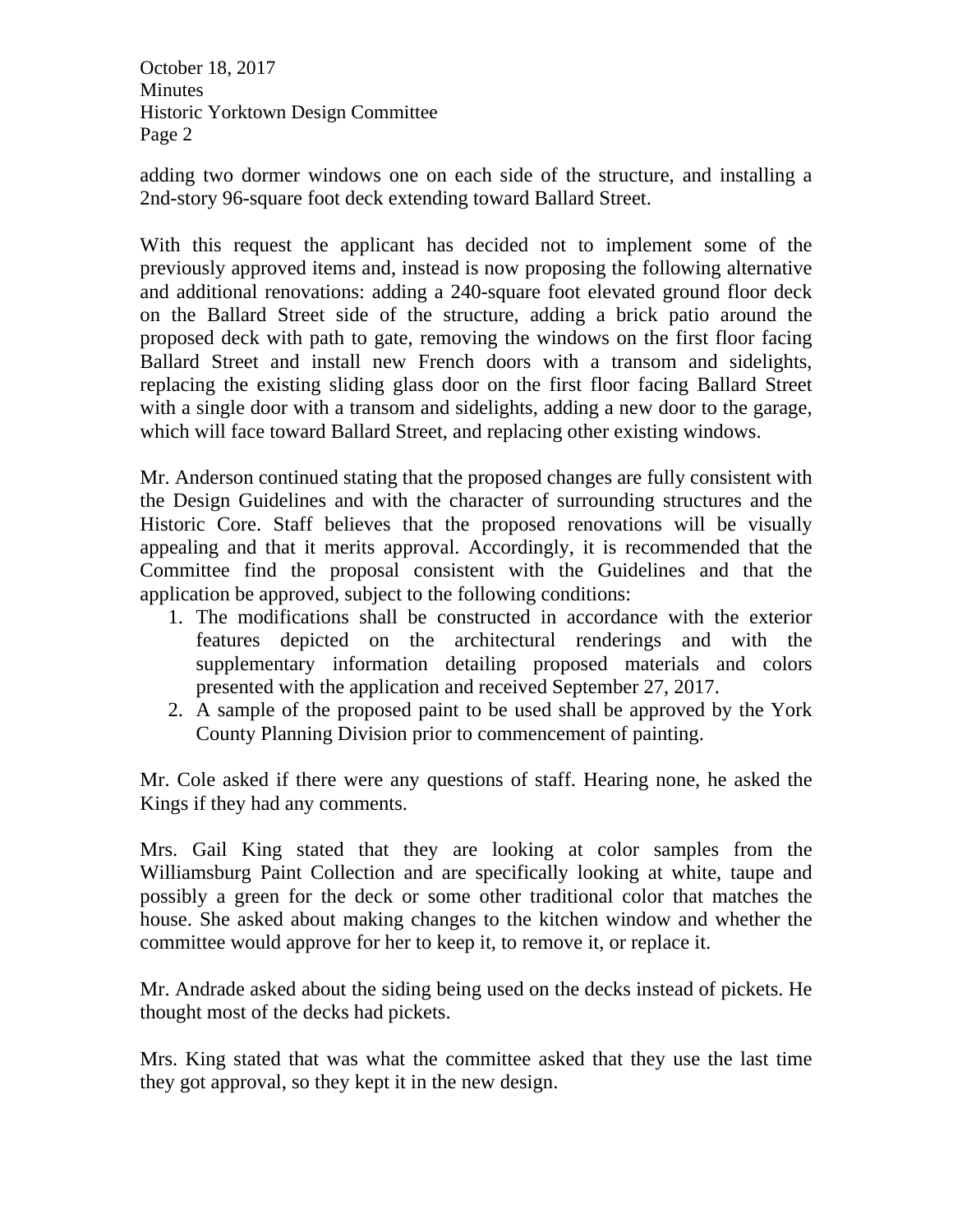October 18, 2017 Minutes Historic Yorktown Design Committee Page 2

adding two dormer windows one on each side of the structure, and installing a 2nd-story 96-square foot deck extending toward Ballard Street.

With this request the applicant has decided not to implement some of the previously approved items and, instead is now proposing the following alternative and additional renovations: adding a 240-square foot elevated ground floor deck on the Ballard Street side of the structure, adding a brick patio around the proposed deck with path to gate, removing the windows on the first floor facing Ballard Street and install new French doors with a transom and sidelights, replacing the existing sliding glass door on the first floor facing Ballard Street with a single door with a transom and sidelights, adding a new door to the garage, which will face toward Ballard Street, and replacing other existing windows.

Mr. Anderson continued stating that the proposed changes are fully consistent with the Design Guidelines and with the character of surrounding structures and the Historic Core. Staff believes that the proposed renovations will be visually appealing and that it merits approval. Accordingly, it is recommended that the Committee find the proposal consistent with the Guidelines and that the application be approved, subject to the following conditions:

- 1. The modifications shall be constructed in accordance with the exterior features depicted on the architectural renderings and with the supplementary information detailing proposed materials and colors presented with the application and received September 27, 2017.
- 2. A sample of the proposed paint to be used shall be approved by the York County Planning Division prior to commencement of painting.

Mr. Cole asked if there were any questions of staff. Hearing none, he asked the Kings if they had any comments.

Mrs. Gail King stated that they are looking at color samples from the Williamsburg Paint Collection and are specifically looking at white, taupe and possibly a green for the deck or some other traditional color that matches the house. She asked about making changes to the kitchen window and whether the committee would approve for her to keep it, to remove it, or replace it.

Mr. Andrade asked about the siding being used on the decks instead of pickets. He thought most of the decks had pickets.

Mrs. King stated that was what the committee asked that they use the last time they got approval, so they kept it in the new design.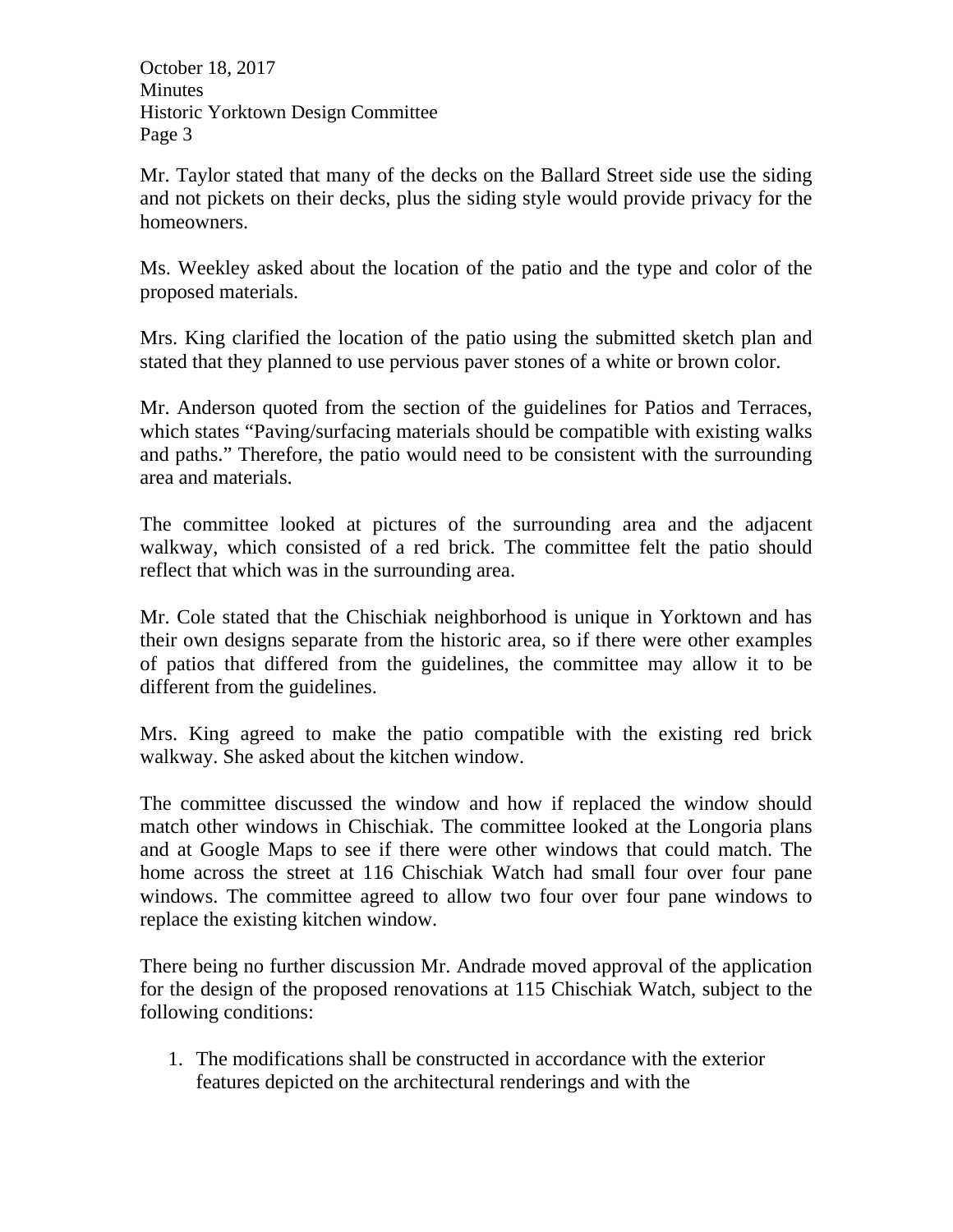October 18, 2017 Minutes Historic Yorktown Design Committee Page 3

Mr. Taylor stated that many of the decks on the Ballard Street side use the siding and not pickets on their decks, plus the siding style would provide privacy for the homeowners.

Ms. Weekley asked about the location of the patio and the type and color of the proposed materials.

Mrs. King clarified the location of the patio using the submitted sketch plan and stated that they planned to use pervious paver stones of a white or brown color.

Mr. Anderson quoted from the section of the guidelines for Patios and Terraces, which states "Paving/surfacing materials should be compatible with existing walks and paths." Therefore, the patio would need to be consistent with the surrounding area and materials.

The committee looked at pictures of the surrounding area and the adjacent walkway, which consisted of a red brick. The committee felt the patio should reflect that which was in the surrounding area.

Mr. Cole stated that the Chischiak neighborhood is unique in Yorktown and has their own designs separate from the historic area, so if there were other examples of patios that differed from the guidelines, the committee may allow it to be different from the guidelines.

Mrs. King agreed to make the patio compatible with the existing red brick walkway. She asked about the kitchen window.

The committee discussed the window and how if replaced the window should match other windows in Chischiak. The committee looked at the Longoria plans and at Google Maps to see if there were other windows that could match. The home across the street at 116 Chischiak Watch had small four over four pane windows. The committee agreed to allow two four over four pane windows to replace the existing kitchen window.

There being no further discussion Mr. Andrade moved approval of the application for the design of the proposed renovations at 115 Chischiak Watch, subject to the following conditions:

1. The modifications shall be constructed in accordance with the exterior features depicted on the architectural renderings and with the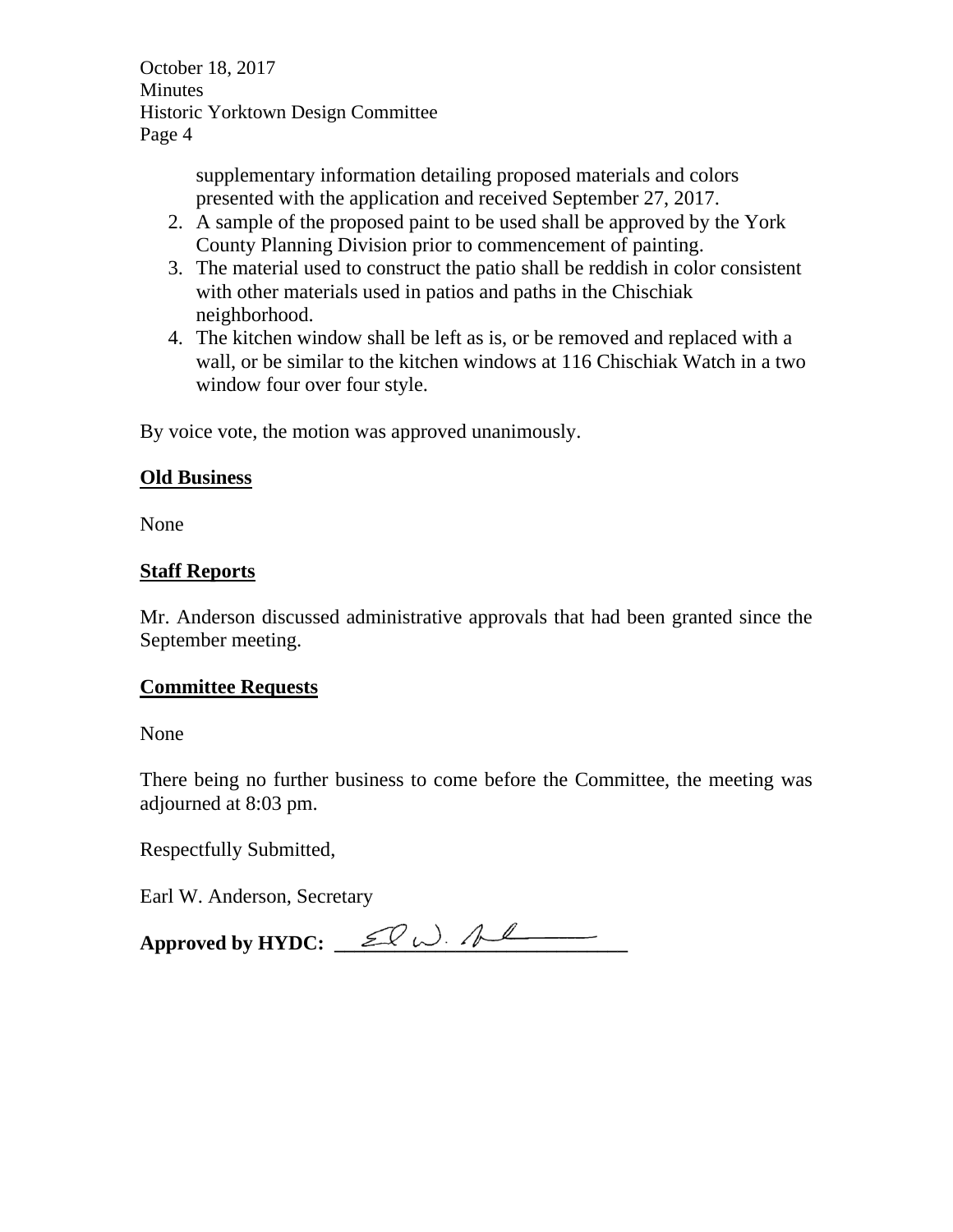October 18, 2017 Minutes Historic Yorktown Design Committee Page 4

> supplementary information detailing proposed materials and colors presented with the application and received September 27, 2017.

- 2. A sample of the proposed paint to be used shall be approved by the York County Planning Division prior to commencement of painting.
- 3. The material used to construct the patio shall be reddish in color consistent with other materials used in patios and paths in the Chischiak neighborhood.
- 4. The kitchen window shall be left as is, or be removed and replaced with a wall, or be similar to the kitchen windows at 116 Chischiak Watch in a two window four over four style.

By voice vote, the motion was approved unanimously.

# **Old Business**

None

# **Staff Reports**

Mr. Anderson discussed administrative approvals that had been granted since the September meeting.

# **Committee Requests**

None

There being no further business to come before the Committee, the meeting was adjourned at 8:03 pm.

Respectfully Submitted,

Earl W. Anderson, Secretary

Approved by HYDC:  $\mathcal{L}$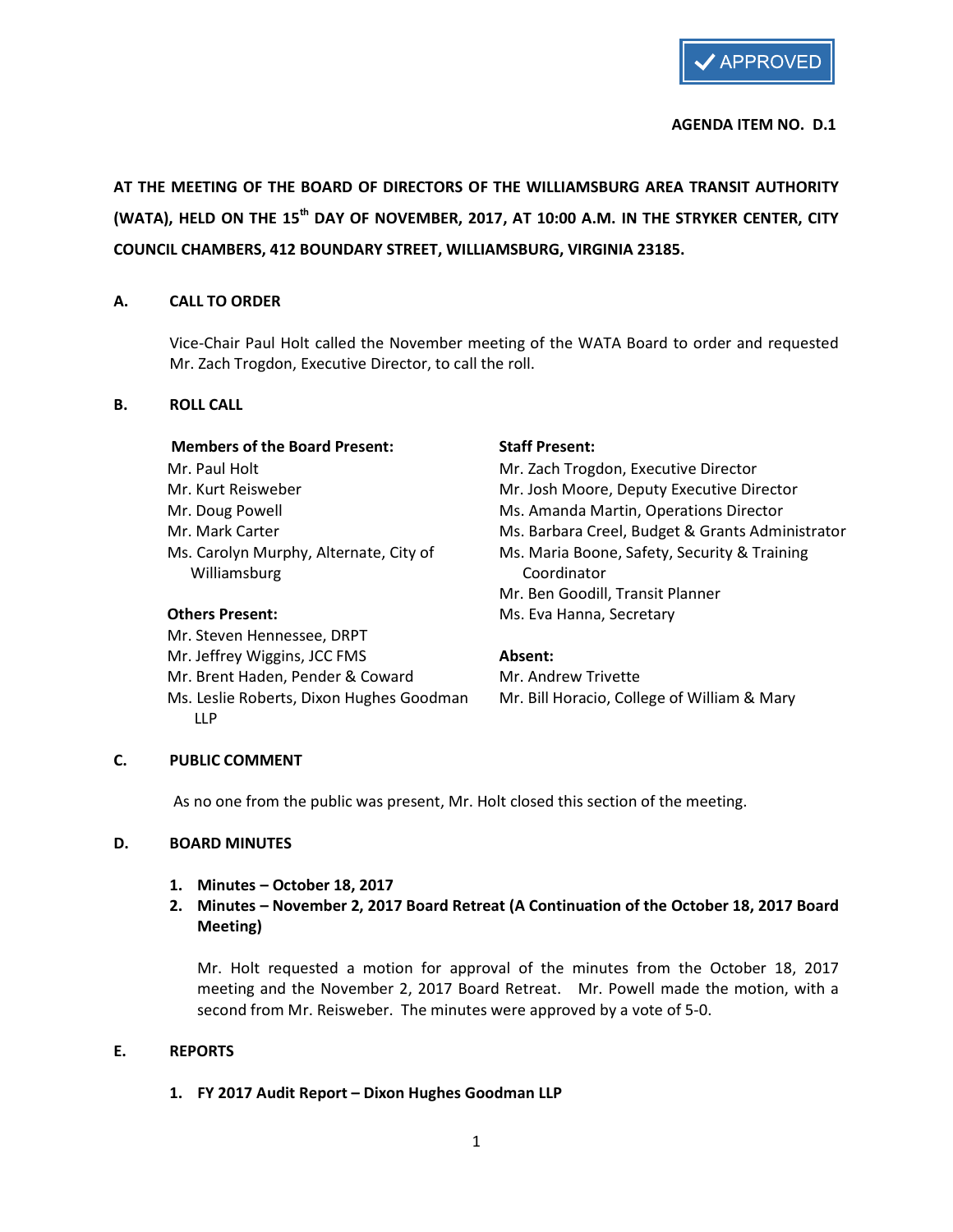

## AGENDA ITEM NO. D.1

AT THE MEETING OF THE BOARD OF DIRECTORS OF THE WILLIAMSBURG AREA TRANSIT AUTHORITY (WATA), HELD ON THE 15<sup>th</sup> DAY OF NOVEMBER, 2017, AT 10:00 A.M. IN THE STRYKER CENTER, CITY COUNCIL CHAMBERS, 412 BOUNDARY STREET, WILLIAMSBURG, VIRGINIA 23185.

## A. CALL TO ORDER

Vice-Chair Paul Holt called the November meeting of the WATA Board to order and requested Mr. Zach Trogdon, Executive Director, to call the roll.

## B. ROLL CALL

### Members of the Board Present: Staff Present:

Williamsburg **Coordinator** Coordinator

 Mr. Steven Hennessee, DRPT Mr. Jeffrey Wiggins, JCC FMS **Absent:** Mr. Brent Haden, Pender & Coward Mr. Andrew Trivette LLP

Mr. Paul Holt Mr. Zach Trogdon, Executive Director Mr. Kurt Reisweber Mr. Josh Moore, Deputy Executive Director Mr. Doug Powell Ms. Amanda Martin, Operations Director Mr. Mark Carter The Ms. Barbara Creel, Budget & Grants Administrator Ms. Carolyn Murphy, Alternate, City of Ms. Maria Boone, Safety, Security & Training Mr. Ben Goodill, Transit Planner Others Present: Ms. Eva Hanna, Secretary

Ms. Leslie Roberts, Dixon Hughes Goodman Mr. Bill Horacio, College of William & Mary

# C. PUBLIC COMMENT

As no one from the public was present, Mr. Holt closed this section of the meeting.

### D. BOARD MINUTES

1. Minutes – October 18, 2017

# 2. Minutes – November 2, 2017 Board Retreat (A Continuation of the October 18, 2017 Board Meeting)

Mr. Holt requested a motion for approval of the minutes from the October 18, 2017 meeting and the November 2, 2017 Board Retreat. Mr. Powell made the motion, with a second from Mr. Reisweber. The minutes were approved by a vote of 5-0.

### E. REPORTS

# 1. FY 2017 Audit Report – Dixon Hughes Goodman LLP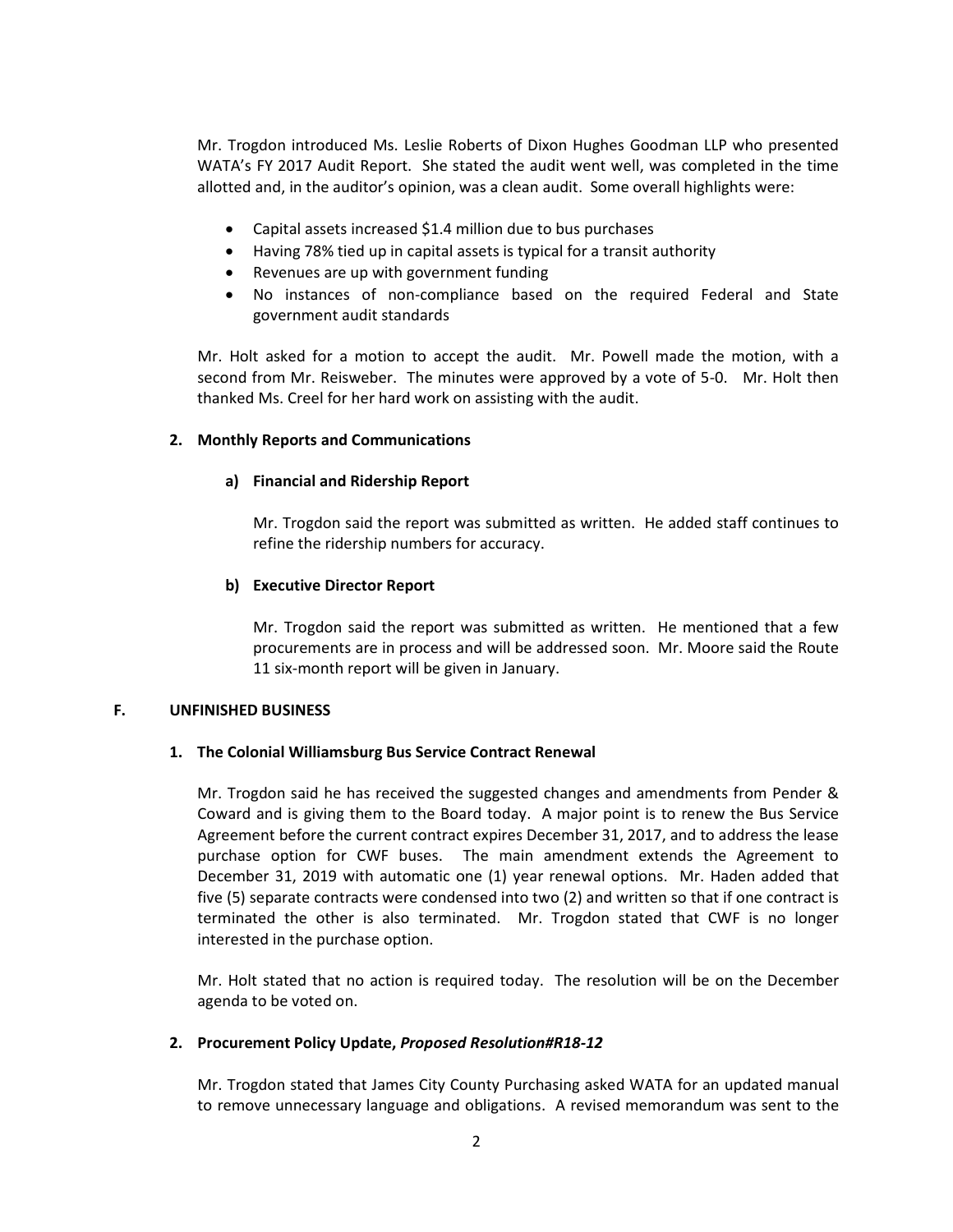Mr. Trogdon introduced Ms. Leslie Roberts of Dixon Hughes Goodman LLP who presented WATA's FY 2017 Audit Report. She stated the audit went well, was completed in the time allotted and, in the auditor's opinion, was a clean audit. Some overall highlights were:

- Capital assets increased \$1.4 million due to bus purchases
- Having 78% tied up in capital assets is typical for a transit authority
- Revenues are up with government funding
- No instances of non-compliance based on the required Federal and State government audit standards

Mr. Holt asked for a motion to accept the audit. Mr. Powell made the motion, with a second from Mr. Reisweber. The minutes were approved by a vote of 5-0. Mr. Holt then thanked Ms. Creel for her hard work on assisting with the audit.

### 2. Monthly Reports and Communications

### a) Financial and Ridership Report

Mr. Trogdon said the report was submitted as written. He added staff continues to refine the ridership numbers for accuracy.

#### b) Executive Director Report

Mr. Trogdon said the report was submitted as written. He mentioned that a few procurements are in process and will be addressed soon. Mr. Moore said the Route 11 six-month report will be given in January.

#### F. UNFINISHED BUSINESS

### 1. The Colonial Williamsburg Bus Service Contract Renewal

Mr. Trogdon said he has received the suggested changes and amendments from Pender & Coward and is giving them to the Board today. A major point is to renew the Bus Service Agreement before the current contract expires December 31, 2017, and to address the lease purchase option for CWF buses. The main amendment extends the Agreement to December 31, 2019 with automatic one (1) year renewal options. Mr. Haden added that five (5) separate contracts were condensed into two (2) and written so that if one contract is terminated the other is also terminated. Mr. Trogdon stated that CWF is no longer interested in the purchase option.

Mr. Holt stated that no action is required today. The resolution will be on the December agenda to be voted on.

### 2. Procurement Policy Update, Proposed Resolution#R18-12

Mr. Trogdon stated that James City County Purchasing asked WATA for an updated manual to remove unnecessary language and obligations. A revised memorandum was sent to the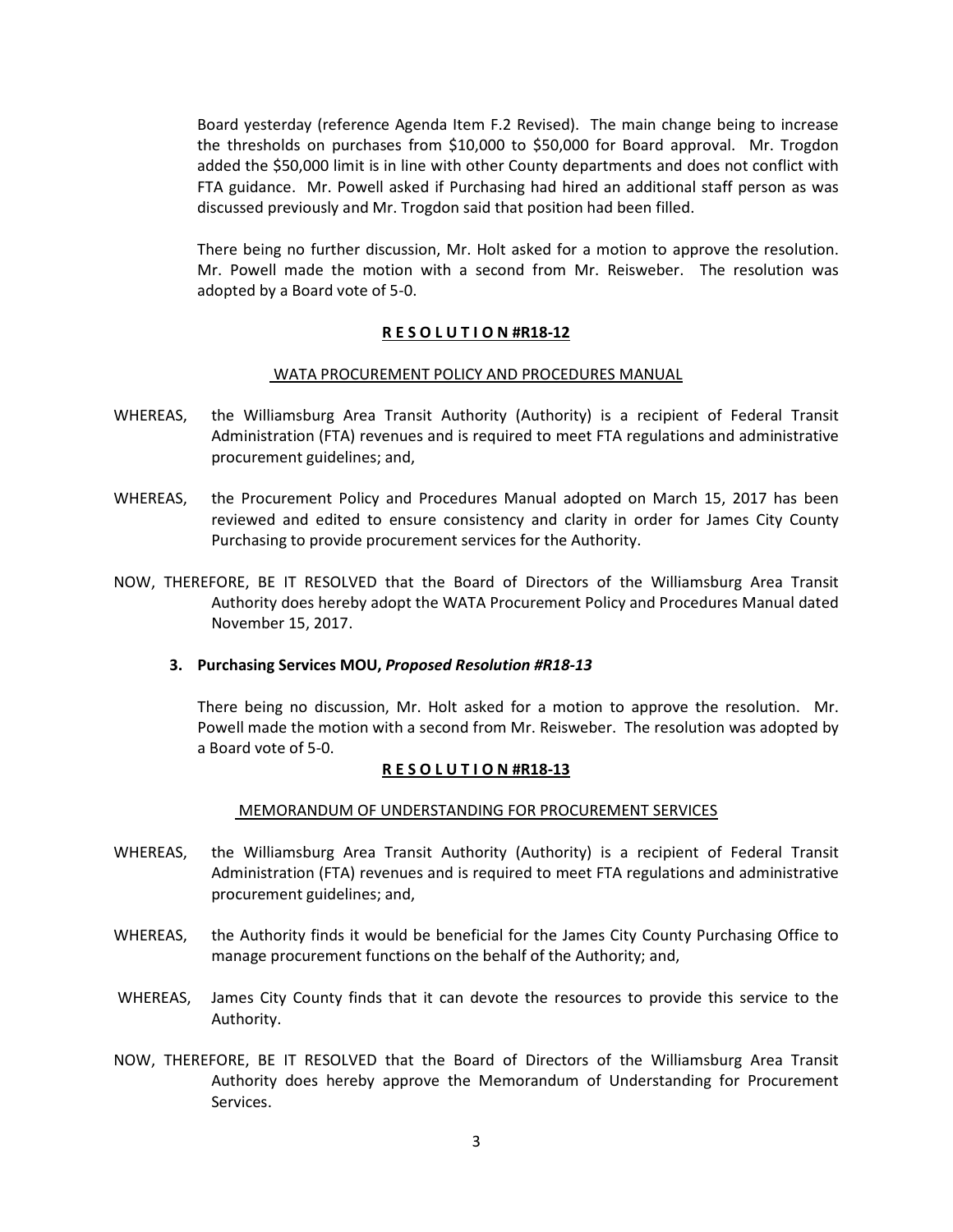Board yesterday (reference Agenda Item F.2 Revised). The main change being to increase the thresholds on purchases from \$10,000 to \$50,000 for Board approval. Mr. Trogdon added the \$50,000 limit is in line with other County departments and does not conflict with FTA guidance. Mr. Powell asked if Purchasing had hired an additional staff person as was discussed previously and Mr. Trogdon said that position had been filled.

There being no further discussion, Mr. Holt asked for a motion to approve the resolution. Mr. Powell made the motion with a second from Mr. Reisweber. The resolution was adopted by a Board vote of 5-0.

### R E S O L U T I O N #R18-12

### WATA PROCUREMENT POLICY AND PROCEDURES MANUAL

- WHEREAS, the Williamsburg Area Transit Authority (Authority) is a recipient of Federal Transit Administration (FTA) revenues and is required to meet FTA regulations and administrative procurement guidelines; and,
- WHEREAS, the Procurement Policy and Procedures Manual adopted on March 15, 2017 has been reviewed and edited to ensure consistency and clarity in order for James City County Purchasing to provide procurement services for the Authority.
- NOW, THEREFORE, BE IT RESOLVED that the Board of Directors of the Williamsburg Area Transit Authority does hereby adopt the WATA Procurement Policy and Procedures Manual dated November 15, 2017.

### 3. Purchasing Services MOU, Proposed Resolution #R18-13

There being no discussion, Mr. Holt asked for a motion to approve the resolution. Mr. Powell made the motion with a second from Mr. Reisweber. The resolution was adopted by a Board vote of 5-0.

### R E S O L U T I O N #R18-13

#### MEMORANDUM OF UNDERSTANDING FOR PROCUREMENT SERVICES

- WHEREAS, the Williamsburg Area Transit Authority (Authority) is a recipient of Federal Transit Administration (FTA) revenues and is required to meet FTA regulations and administrative procurement guidelines; and,
- WHEREAS, the Authority finds it would be beneficial for the James City County Purchasing Office to manage procurement functions on the behalf of the Authority; and,
- WHEREAS, James City County finds that it can devote the resources to provide this service to the Authority.
- NOW, THEREFORE, BE IT RESOLVED that the Board of Directors of the Williamsburg Area Transit Authority does hereby approve the Memorandum of Understanding for Procurement Services.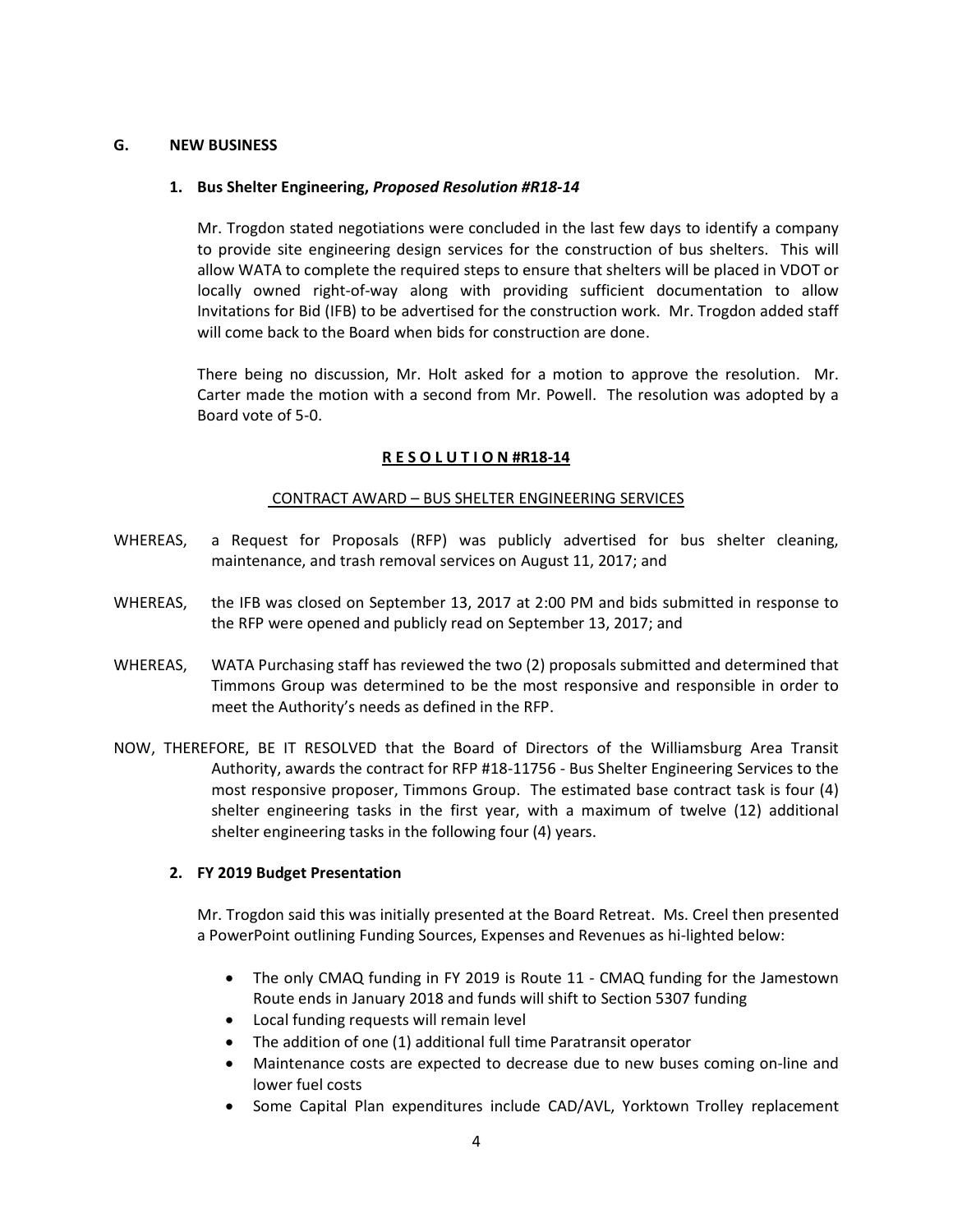## G. NEW BUSINESS

## 1. Bus Shelter Engineering, Proposed Resolution #R18-14

Mr. Trogdon stated negotiations were concluded in the last few days to identify a company to provide site engineering design services for the construction of bus shelters. This will allow WATA to complete the required steps to ensure that shelters will be placed in VDOT or locally owned right-of-way along with providing sufficient documentation to allow Invitations for Bid (IFB) to be advertised for the construction work. Mr. Trogdon added staff will come back to the Board when bids for construction are done.

There being no discussion, Mr. Holt asked for a motion to approve the resolution. Mr. Carter made the motion with a second from Mr. Powell. The resolution was adopted by a Board vote of 5-0.

## R E S O L U T I O N #R18-14

### CONTRACT AWARD – BUS SHELTER ENGINEERING SERVICES

- WHEREAS, a Request for Proposals (RFP) was publicly advertised for bus shelter cleaning, maintenance, and trash removal services on August 11, 2017; and
- WHEREAS, the IFB was closed on September 13, 2017 at 2:00 PM and bids submitted in response to the RFP were opened and publicly read on September 13, 2017; and
- WHEREAS, WATA Purchasing staff has reviewed the two (2) proposals submitted and determined that Timmons Group was determined to be the most responsive and responsible in order to meet the Authority's needs as defined in the RFP.
- NOW, THEREFORE, BE IT RESOLVED that the Board of Directors of the Williamsburg Area Transit Authority, awards the contract for RFP #18-11756 - Bus Shelter Engineering Services to the most responsive proposer, Timmons Group. The estimated base contract task is four (4) shelter engineering tasks in the first year, with a maximum of twelve (12) additional shelter engineering tasks in the following four (4) years.

# 2. FY 2019 Budget Presentation

Mr. Trogdon said this was initially presented at the Board Retreat. Ms. Creel then presented a PowerPoint outlining Funding Sources, Expenses and Revenues as hi-lighted below:

- The only CMAQ funding in FY 2019 is Route 11 CMAQ funding for the Jamestown Route ends in January 2018 and funds will shift to Section 5307 funding
- Local funding requests will remain level
- The addition of one (1) additional full time Paratransit operator
- Maintenance costs are expected to decrease due to new buses coming on-line and lower fuel costs
- Some Capital Plan expenditures include CAD/AVL, Yorktown Trolley replacement